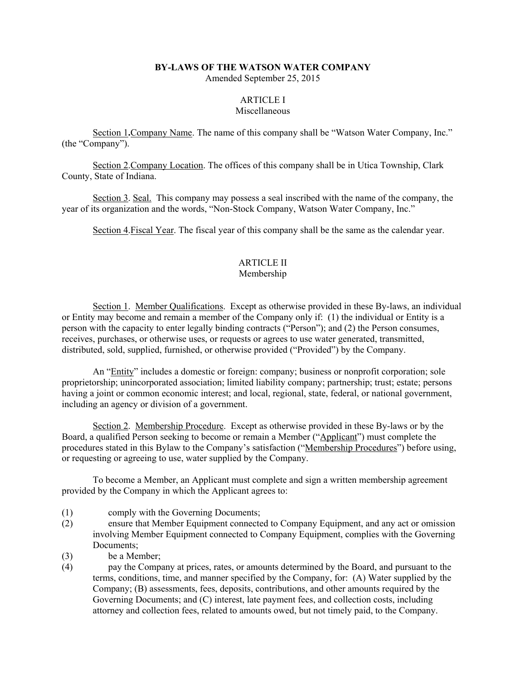### **BY-LAWS OF THE WATSON WATER COMPANY**

Amended September 25, 2015

## ARTICLE I

## **Miscellaneous**

Section 1**.**Company Name. The name of this company shall be "Watson Water Company, Inc." (the "Company").

Section 2.Company Location. The offices of this company shall be in Utica Township, Clark County, State of Indiana.

Section 3. Seal. This company may possess a seal inscribed with the name of the company, the year of its organization and the words, "Non-Stock Company, Watson Water Company, Inc."

Section 4.Fiscal Year. The fiscal year of this company shall be the same as the calendar year.

## ARTICLE II

## Membership

Section 1. Member Qualifications. Except as otherwise provided in these By-laws, an individual or Entity may become and remain a member of the Company only if: (1) the individual or Entity is a person with the capacity to enter legally binding contracts ("Person"); and (2) the Person consumes, receives, purchases, or otherwise uses, or requests or agrees to use water generated, transmitted, distributed, sold, supplied, furnished, or otherwise provided ("Provided") by the Company.

An "Entity" includes a domestic or foreign: company; business or nonprofit corporation; sole proprietorship; unincorporated association; limited liability company; partnership; trust; estate; persons having a joint or common economic interest; and local, regional, state, federal, or national government, including an agency or division of a government.

Section 2. Membership Procedure. Except as otherwise provided in these By-laws or by the Board, a qualified Person seeking to become or remain a Member ("Applicant") must complete the procedures stated in this Bylaw to the Company's satisfaction ("Membership Procedures") before using, or requesting or agreeing to use, water supplied by the Company.

To become a Member, an Applicant must complete and sign a written membership agreement provided by the Company in which the Applicant agrees to:

- (1) comply with the Governing Documents;
- (2) ensure that Member Equipment connected to Company Equipment, and any act or omission involving Member Equipment connected to Company Equipment, complies with the Governing Documents;
- (3) be a Member;
- (4) pay the Company at prices, rates, or amounts determined by the Board, and pursuant to the terms, conditions, time, and manner specified by the Company, for: (A) Water supplied by the Company; (B) assessments, fees, deposits, contributions, and other amounts required by the Governing Documents; and (C) interest, late payment fees, and collection costs, including attorney and collection fees, related to amounts owed, but not timely paid, to the Company.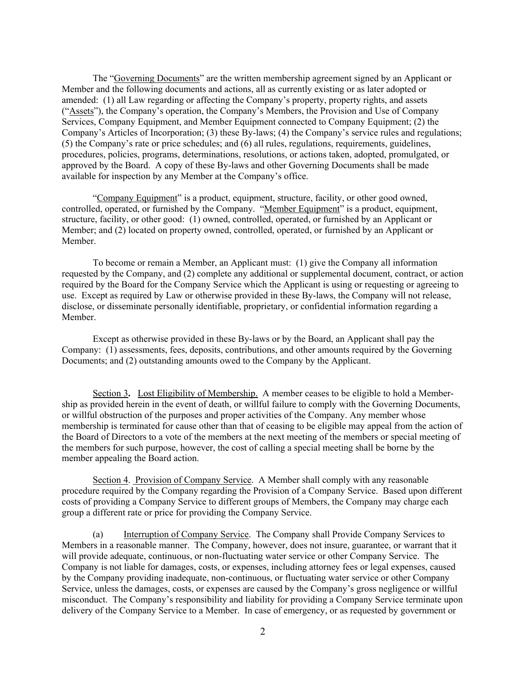The "Governing Documents" are the written membership agreement signed by an Applicant or Member and the following documents and actions, all as currently existing or as later adopted or amended: (1) all Law regarding or affecting the Company's property, property rights, and assets ("Assets"), the Company's operation, the Company's Members, the Provision and Use of Company Services, Company Equipment, and Member Equipment connected to Company Equipment; (2) the Company's Articles of Incorporation; (3) these By-laws; (4) the Company's service rules and regulations; (5) the Company's rate or price schedules; and (6) all rules, regulations, requirements, guidelines, procedures, policies, programs, determinations, resolutions, or actions taken, adopted, promulgated, or approved by the Board. A copy of these By-laws and other Governing Documents shall be made available for inspection by any Member at the Company's office.

"Company Equipment" is a product, equipment, structure, facility, or other good owned, controlled, operated, or furnished by the Company. "Member Equipment" is a product, equipment, structure, facility, or other good: (1) owned, controlled, operated, or furnished by an Applicant or Member; and (2) located on property owned, controlled, operated, or furnished by an Applicant or Member.

To become or remain a Member, an Applicant must: (1) give the Company all information requested by the Company, and (2) complete any additional or supplemental document, contract, or action required by the Board for the Company Service which the Applicant is using or requesting or agreeing to use. Except as required by Law or otherwise provided in these By-laws, the Company will not release, disclose, or disseminate personally identifiable, proprietary, or confidential information regarding a Member.

Except as otherwise provided in these By-laws or by the Board, an Applicant shall pay the Company: (1) assessments, fees, deposits, contributions, and other amounts required by the Governing Documents; and (2) outstanding amounts owed to the Company by the Applicant.

Section 3**.** Lost Eligibility of Membership. A member ceases to be eligible to hold a Membership as provided herein in the event of death, or willful failure to comply with the Governing Documents, or willful obstruction of the purposes and proper activities of the Company. Any member whose membership is terminated for cause other than that of ceasing to be eligible may appeal from the action of the Board of Directors to a vote of the members at the next meeting of the members or special meeting of the members for such purpose, however, the cost of calling a special meeting shall be borne by the member appealing the Board action.

Section 4. Provision of Company Service. A Member shall comply with any reasonable procedure required by the Company regarding the Provision of a Company Service. Based upon different costs of providing a Company Service to different groups of Members, the Company may charge each group a different rate or price for providing the Company Service.

(a) Interruption of Company Service. The Company shall Provide Company Services to Members in a reasonable manner. The Company, however, does not insure, guarantee, or warrant that it will provide adequate, continuous, or non-fluctuating water service or other Company Service. The Company is not liable for damages, costs, or expenses, including attorney fees or legal expenses, caused by the Company providing inadequate, non-continuous, or fluctuating water service or other Company Service, unless the damages, costs, or expenses are caused by the Company's gross negligence or willful misconduct. The Company's responsibility and liability for providing a Company Service terminate upon delivery of the Company Service to a Member. In case of emergency, or as requested by government or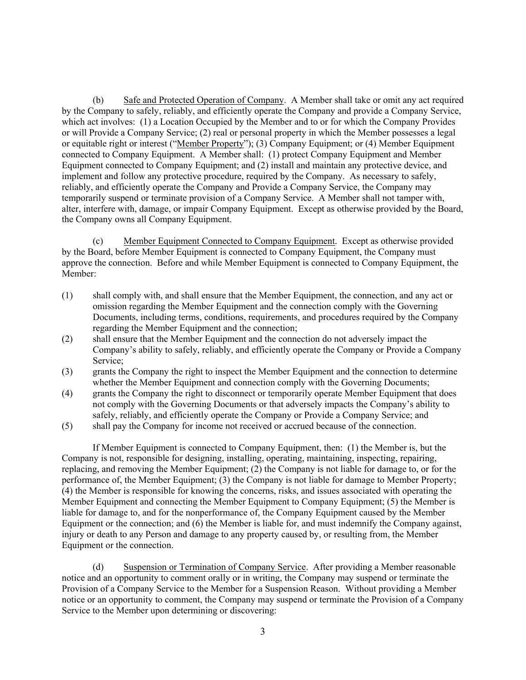(b) Safe and Protected Operation of Company. A Member shall take or omit any act required by the Company to safely, reliably, and efficiently operate the Company and provide a Company Service, which act involves: (1) a Location Occupied by the Member and to or for which the Company Provides or will Provide a Company Service; (2) real or personal property in which the Member possesses a legal or equitable right or interest ("Member Property"); (3) Company Equipment; or (4) Member Equipment connected to Company Equipment. A Member shall: (1) protect Company Equipment and Member Equipment connected to Company Equipment; and (2) install and maintain any protective device, and implement and follow any protective procedure, required by the Company. As necessary to safely, reliably, and efficiently operate the Company and Provide a Company Service, the Company may temporarily suspend or terminate provision of a Company Service. A Member shall not tamper with, alter, interfere with, damage, or impair Company Equipment. Except as otherwise provided by the Board, the Company owns all Company Equipment.

(c) Member Equipment Connected to Company Equipment. Except as otherwise provided by the Board, before Member Equipment is connected to Company Equipment, the Company must approve the connection. Before and while Member Equipment is connected to Company Equipment, the Member:

- (1) shall comply with, and shall ensure that the Member Equipment, the connection, and any act or omission regarding the Member Equipment and the connection comply with the Governing Documents, including terms, conditions, requirements, and procedures required by the Company regarding the Member Equipment and the connection;
- (2) shall ensure that the Member Equipment and the connection do not adversely impact the Company's ability to safely, reliably, and efficiently operate the Company or Provide a Company Service<sup>.</sup>
- (3) grants the Company the right to inspect the Member Equipment and the connection to determine whether the Member Equipment and connection comply with the Governing Documents;
- (4) grants the Company the right to disconnect or temporarily operate Member Equipment that does not comply with the Governing Documents or that adversely impacts the Company's ability to safely, reliably, and efficiently operate the Company or Provide a Company Service; and
- (5) shall pay the Company for income not received or accrued because of the connection.

If Member Equipment is connected to Company Equipment, then: (1) the Member is, but the Company is not, responsible for designing, installing, operating, maintaining, inspecting, repairing, replacing, and removing the Member Equipment; (2) the Company is not liable for damage to, or for the performance of, the Member Equipment; (3) the Company is not liable for damage to Member Property; (4) the Member is responsible for knowing the concerns, risks, and issues associated with operating the Member Equipment and connecting the Member Equipment to Company Equipment; (5) the Member is liable for damage to, and for the nonperformance of, the Company Equipment caused by the Member Equipment or the connection; and (6) the Member is liable for, and must indemnify the Company against, injury or death to any Person and damage to any property caused by, or resulting from, the Member Equipment or the connection.

(d) Suspension or Termination of Company Service. After providing a Member reasonable notice and an opportunity to comment orally or in writing, the Company may suspend or terminate the Provision of a Company Service to the Member for a Suspension Reason. Without providing a Member notice or an opportunity to comment, the Company may suspend or terminate the Provision of a Company Service to the Member upon determining or discovering: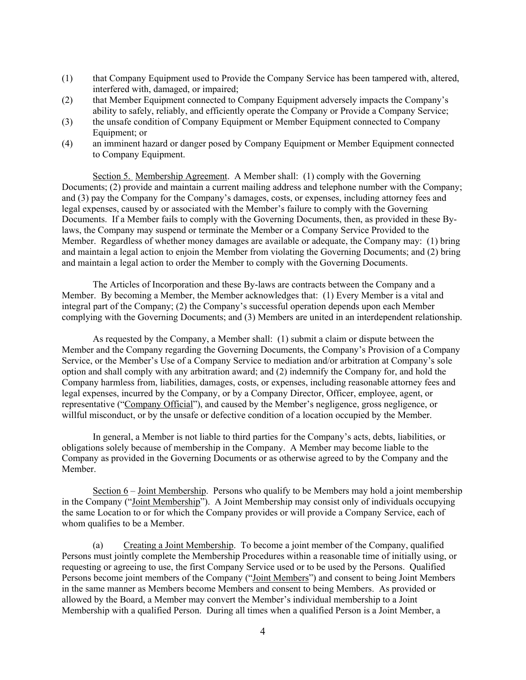- (1) that Company Equipment used to Provide the Company Service has been tampered with, altered, interfered with, damaged, or impaired;
- (2) that Member Equipment connected to Company Equipment adversely impacts the Company's ability to safely, reliably, and efficiently operate the Company or Provide a Company Service;
- (3) the unsafe condition of Company Equipment or Member Equipment connected to Company Equipment; or
- (4) an imminent hazard or danger posed by Company Equipment or Member Equipment connected to Company Equipment.

Section 5. Membership Agreement. A Member shall: (1) comply with the Governing Documents; (2) provide and maintain a current mailing address and telephone number with the Company; and (3) pay the Company for the Company's damages, costs, or expenses, including attorney fees and legal expenses, caused by or associated with the Member's failure to comply with the Governing Documents. If a Member fails to comply with the Governing Documents, then, as provided in these Bylaws, the Company may suspend or terminate the Member or a Company Service Provided to the Member. Regardless of whether money damages are available or adequate, the Company may: (1) bring and maintain a legal action to enjoin the Member from violating the Governing Documents; and (2) bring and maintain a legal action to order the Member to comply with the Governing Documents.

The Articles of Incorporation and these By-laws are contracts between the Company and a Member. By becoming a Member, the Member acknowledges that: (1) Every Member is a vital and integral part of the Company; (2) the Company's successful operation depends upon each Member complying with the Governing Documents; and (3) Members are united in an interdependent relationship.

As requested by the Company, a Member shall: (1) submit a claim or dispute between the Member and the Company regarding the Governing Documents, the Company's Provision of a Company Service, or the Member's Use of a Company Service to mediation and/or arbitration at Company's sole option and shall comply with any arbitration award; and (2) indemnify the Company for, and hold the Company harmless from, liabilities, damages, costs, or expenses, including reasonable attorney fees and legal expenses, incurred by the Company, or by a Company Director, Officer, employee, agent, or representative ("Company Official"), and caused by the Member's negligence, gross negligence, or willful misconduct, or by the unsafe or defective condition of a location occupied by the Member.

In general, a Member is not liable to third parties for the Company's acts, debts, liabilities, or obligations solely because of membership in the Company. A Member may become liable to the Company as provided in the Governing Documents or as otherwise agreed to by the Company and the Member.

Section 6 – Joint Membership. Persons who qualify to be Members may hold a joint membership in the Company ("Joint Membership"). A Joint Membership may consist only of individuals occupying the same Location to or for which the Company provides or will provide a Company Service, each of whom qualifies to be a Member.

(a) Creating a Joint Membership. To become a joint member of the Company, qualified Persons must jointly complete the Membership Procedures within a reasonable time of initially using, or requesting or agreeing to use, the first Company Service used or to be used by the Persons. Qualified Persons become joint members of the Company ("Joint Members") and consent to being Joint Members in the same manner as Members become Members and consent to being Members. As provided or allowed by the Board, a Member may convert the Member's individual membership to a Joint Membership with a qualified Person. During all times when a qualified Person is a Joint Member, a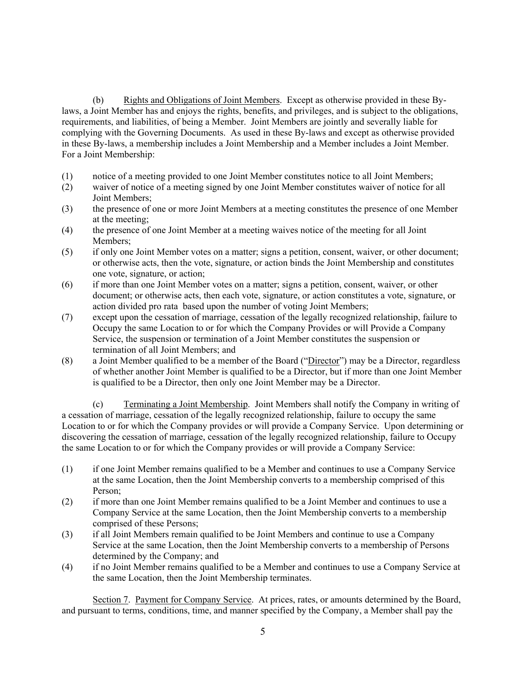(b) Rights and Obligations of Joint Members. Except as otherwise provided in these Bylaws, a Joint Member has and enjoys the rights, benefits, and privileges, and is subject to the obligations, requirements, and liabilities, of being a Member. Joint Members are jointly and severally liable for complying with the Governing Documents. As used in these By-laws and except as otherwise provided in these By-laws, a membership includes a Joint Membership and a Member includes a Joint Member. For a Joint Membership:

- (1) notice of a meeting provided to one Joint Member constitutes notice to all Joint Members;
- (2) waiver of notice of a meeting signed by one Joint Member constitutes waiver of notice for all Joint Members;
- (3) the presence of one or more Joint Members at a meeting constitutes the presence of one Member at the meeting;
- (4) the presence of one Joint Member at a meeting waives notice of the meeting for all Joint Members;
- (5) if only one Joint Member votes on a matter; signs a petition, consent, waiver, or other document; or otherwise acts, then the vote, signature, or action binds the Joint Membership and constitutes one vote, signature, or action;
- (6) if more than one Joint Member votes on a matter; signs a petition, consent, waiver, or other document; or otherwise acts, then each vote, signature, or action constitutes a vote, signature, or action divided pro rata based upon the number of voting Joint Members;
- (7) except upon the cessation of marriage, cessation of the legally recognized relationship, failure to Occupy the same Location to or for which the Company Provides or will Provide a Company Service, the suspension or termination of a Joint Member constitutes the suspension or termination of all Joint Members; and
- (8) a Joint Member qualified to be a member of the Board ("Director") may be a Director, regardless of whether another Joint Member is qualified to be a Director, but if more than one Joint Member is qualified to be a Director, then only one Joint Member may be a Director.

(c) Terminating a Joint Membership. Joint Members shall notify the Company in writing of a cessation of marriage, cessation of the legally recognized relationship, failure to occupy the same Location to or for which the Company provides or will provide a Company Service. Upon determining or discovering the cessation of marriage, cessation of the legally recognized relationship, failure to Occupy the same Location to or for which the Company provides or will provide a Company Service:

- (1) if one Joint Member remains qualified to be a Member and continues to use a Company Service at the same Location, then the Joint Membership converts to a membership comprised of this Person;
- (2) if more than one Joint Member remains qualified to be a Joint Member and continues to use a Company Service at the same Location, then the Joint Membership converts to a membership comprised of these Persons;
- (3) if all Joint Members remain qualified to be Joint Members and continue to use a Company Service at the same Location, then the Joint Membership converts to a membership of Persons determined by the Company; and
- (4) if no Joint Member remains qualified to be a Member and continues to use a Company Service at the same Location, then the Joint Membership terminates.

Section 7. Payment for Company Service. At prices, rates, or amounts determined by the Board, and pursuant to terms, conditions, time, and manner specified by the Company, a Member shall pay the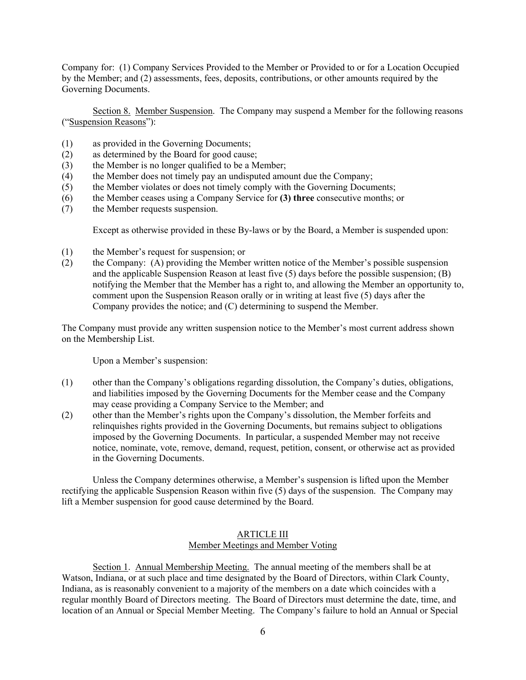Company for: (1) Company Services Provided to the Member or Provided to or for a Location Occupied by the Member; and (2) assessments, fees, deposits, contributions, or other amounts required by the Governing Documents.

Section 8. Member Suspension. The Company may suspend a Member for the following reasons ("Suspension Reasons"):

- (1) as provided in the Governing Documents;
- (2) as determined by the Board for good cause;
- (3) the Member is no longer qualified to be a Member;
- (4) the Member does not timely pay an undisputed amount due the Company;
- (5) the Member violates or does not timely comply with the Governing Documents;
- (6) the Member ceases using a Company Service for **(3) three** consecutive months; or
- (7) the Member requests suspension.

Except as otherwise provided in these By-laws or by the Board, a Member is suspended upon:

- (1) the Member's request for suspension; or
- (2) the Company: (A) providing the Member written notice of the Member's possible suspension and the applicable Suspension Reason at least five (5) days before the possible suspension; (B) notifying the Member that the Member has a right to, and allowing the Member an opportunity to, comment upon the Suspension Reason orally or in writing at least five (5) days after the Company provides the notice; and (C) determining to suspend the Member.

The Company must provide any written suspension notice to the Member's most current address shown on the Membership List.

Upon a Member's suspension:

- (1) other than the Company's obligations regarding dissolution, the Company's duties, obligations, and liabilities imposed by the Governing Documents for the Member cease and the Company may cease providing a Company Service to the Member; and
- (2) other than the Member's rights upon the Company's dissolution, the Member forfeits and relinquishes rights provided in the Governing Documents, but remains subject to obligations imposed by the Governing Documents. In particular, a suspended Member may not receive notice, nominate, vote, remove, demand, request, petition, consent, or otherwise act as provided in the Governing Documents.

Unless the Company determines otherwise, a Member's suspension is lifted upon the Member rectifying the applicable Suspension Reason within five (5) days of the suspension. The Company may lift a Member suspension for good cause determined by the Board.

#### ARTICLE III Member Meetings and Member Voting

 Section 1. Annual Membership Meeting. The annual meeting of the members shall be at Watson, Indiana, or at such place and time designated by the Board of Directors, within Clark County, Indiana, as is reasonably convenient to a majority of the members on a date which coincides with a regular monthly Board of Directors meeting. The Board of Directors must determine the date, time, and location of an Annual or Special Member Meeting. The Company's failure to hold an Annual or Special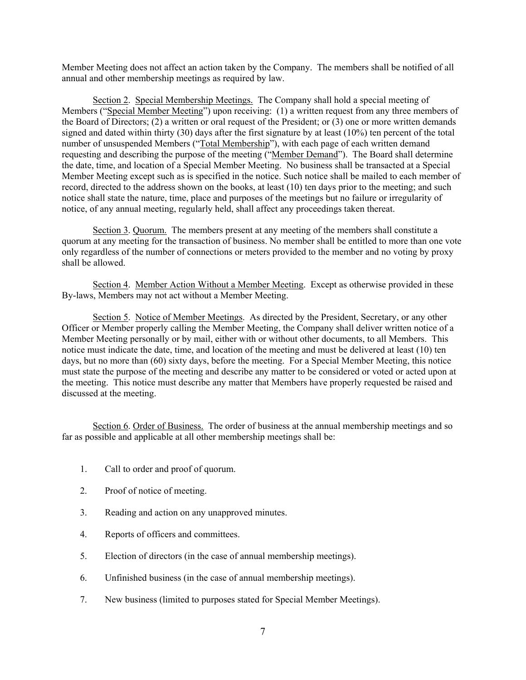Member Meeting does not affect an action taken by the Company. The members shall be notified of all annual and other membership meetings as required by law.

Section 2. Special Membership Meetings. The Company shall hold a special meeting of Members ("Special Member Meeting") upon receiving: (1) a written request from any three members of the Board of Directors; (2) a written or oral request of the President; or (3) one or more written demands signed and dated within thirty (30) days after the first signature by at least (10%) ten percent of the total number of unsuspended Members ("Total Membership"), with each page of each written demand requesting and describing the purpose of the meeting ("Member Demand"). The Board shall determine the date, time, and location of a Special Member Meeting. No business shall be transacted at a Special Member Meeting except such as is specified in the notice. Such notice shall be mailed to each member of record, directed to the address shown on the books, at least (10) ten days prior to the meeting; and such notice shall state the nature, time, place and purposes of the meetings but no failure or irregularity of notice, of any annual meeting, regularly held, shall affect any proceedings taken thereat.

Section 3. Quorum. The members present at any meeting of the members shall constitute a quorum at any meeting for the transaction of business. No member shall be entitled to more than one vote only regardless of the number of connections or meters provided to the member and no voting by proxy shall be allowed.

Section 4. Member Action Without a Member Meeting. Except as otherwise provided in these By-laws, Members may not act without a Member Meeting.

Section 5. Notice of Member Meetings. As directed by the President, Secretary, or any other Officer or Member properly calling the Member Meeting, the Company shall deliver written notice of a Member Meeting personally or by mail, either with or without other documents, to all Members. This notice must indicate the date, time, and location of the meeting and must be delivered at least (10) ten days, but no more than (60) sixty days, before the meeting. For a Special Member Meeting, this notice must state the purpose of the meeting and describe any matter to be considered or voted or acted upon at the meeting. This notice must describe any matter that Members have properly requested be raised and discussed at the meeting.

Section 6. Order of Business. The order of business at the annual membership meetings and so far as possible and applicable at all other membership meetings shall be:

- 1. Call to order and proof of quorum.
- 2. Proof of notice of meeting.
- 3. Reading and action on any unapproved minutes.
- 4. Reports of officers and committees.
- 5. Election of directors (in the case of annual membership meetings).
- 6. Unfinished business (in the case of annual membership meetings).
- 7. New business (limited to purposes stated for Special Member Meetings).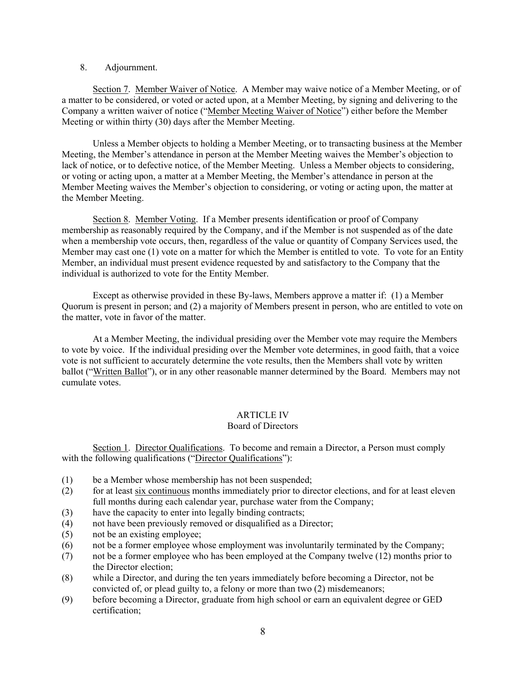#### 8. Adjournment.

Section 7. Member Waiver of Notice. A Member may waive notice of a Member Meeting, or of a matter to be considered, or voted or acted upon, at a Member Meeting, by signing and delivering to the Company a written waiver of notice ("Member Meeting Waiver of Notice") either before the Member Meeting or within thirty (30) days after the Member Meeting.

Unless a Member objects to holding a Member Meeting, or to transacting business at the Member Meeting, the Member's attendance in person at the Member Meeting waives the Member's objection to lack of notice, or to defective notice, of the Member Meeting. Unless a Member objects to considering, or voting or acting upon, a matter at a Member Meeting, the Member's attendance in person at the Member Meeting waives the Member's objection to considering, or voting or acting upon, the matter at the Member Meeting.

Section 8. Member Voting. If a Member presents identification or proof of Company membership as reasonably required by the Company, and if the Member is not suspended as of the date when a membership vote occurs, then, regardless of the value or quantity of Company Services used, the Member may cast one (1) vote on a matter for which the Member is entitled to vote. To vote for an Entity Member, an individual must present evidence requested by and satisfactory to the Company that the individual is authorized to vote for the Entity Member.

Except as otherwise provided in these By-laws, Members approve a matter if: (1) a Member Quorum is present in person; and (2) a majority of Members present in person, who are entitled to vote on the matter, vote in favor of the matter.

At a Member Meeting, the individual presiding over the Member vote may require the Members to vote by voice. If the individual presiding over the Member vote determines, in good faith, that a voice vote is not sufficient to accurately determine the vote results, then the Members shall vote by written ballot ("Written Ballot"), or in any other reasonable manner determined by the Board. Members may not cumulate votes.

## ARTICLE IV

## Board of Directors

Section 1. Director Qualifications. To become and remain a Director, a Person must comply with the following qualifications ("Director Qualifications"):

- (1) be a Member whose membership has not been suspended;
- (2) for at least six continuous months immediately prior to director elections, and for at least eleven full months during each calendar year, purchase water from the Company;
- (3) have the capacity to enter into legally binding contracts;
- (4) not have been previously removed or disqualified as a Director;
- (5) not be an existing employee;
- (6) not be a former employee whose employment was involuntarily terminated by the Company;
- (7) not be a former employee who has been employed at the Company twelve (12) months prior to the Director election;
- (8) while a Director, and during the ten years immediately before becoming a Director, not be convicted of, or plead guilty to, a felony or more than two (2) misdemeanors;
- (9) before becoming a Director, graduate from high school or earn an equivalent degree or GED certification;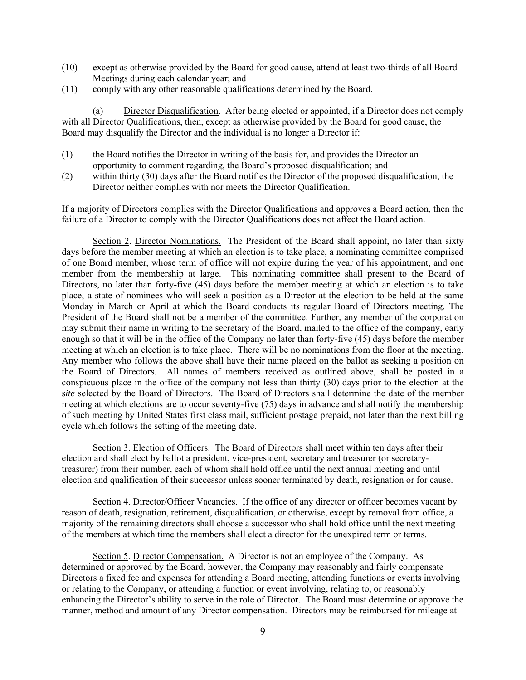- (10) except as otherwise provided by the Board for good cause, attend at least two-thirds of all Board Meetings during each calendar year; and
- (11) comply with any other reasonable qualifications determined by the Board.

(a) Director Disqualification. After being elected or appointed, if a Director does not comply with all Director Qualifications, then, except as otherwise provided by the Board for good cause, the Board may disqualify the Director and the individual is no longer a Director if:

- (1) the Board notifies the Director in writing of the basis for, and provides the Director an opportunity to comment regarding, the Board's proposed disqualification; and
- (2) within thirty (30) days after the Board notifies the Director of the proposed disqualification, the Director neither complies with nor meets the Director Qualification.

If a majority of Directors complies with the Director Qualifications and approves a Board action, then the failure of a Director to comply with the Director Qualifications does not affect the Board action.

 Section 2. Director Nominations. The President of the Board shall appoint, no later than sixty days before the member meeting at which an election is to take place, a nominating committee comprised of one Board member, whose term of office will not expire during the year of his appointment, and one member from the membership at large. This nominating committee shall present to the Board of Directors, no later than forty-five (45) days before the member meeting at which an election is to take place, a state of nominees who will seek a position as a Director at the election to be held at the same Monday in March or April at which the Board conducts its regular Board of Directors meeting. The President of the Board shall not be a member of the committee. Further, any member of the corporation may submit their name in writing to the secretary of the Board, mailed to the office of the company, early enough so that it will be in the office of the Company no later than forty-five (45) days before the member meeting at which an election is to take place. There will be no nominations from the floor at the meeting. Any member who follows the above shall have their name placed on the ballot as seeking a position on the Board of Directors. All names of members received as outlined above, shall be posted in a conspicuous place in the office of the company not less than thirty (30) days prior to the election at the s*ite* selected by the Board of Directors. The Board of Directors shall determine the date of the member meeting at which elections are to occur seventy-five (75) days in advance and shall notify the membership of such meeting by United States first class mail, sufficient postage prepaid, not later than the next billing cycle which follows the setting of the meeting date.

Section 3. Election of Officers. The Board of Directors shall meet within ten days after their election and shall elect by ballot a president, vice-president, secretary and treasurer (or secretarytreasurer) from their number, each of whom shall hold office until the next annual meeting and until election and qualification of their successor unless sooner terminated by death, resignation or for cause.

Section 4. Director/Officer Vacancies. If the office of any director or officer becomes vacant by reason of death, resignation, retirement, disqualification, or otherwise, except by removal from office, a majority of the remaining directors shall choose a successor who shall hold office until the next meeting of the members at which time the members shall elect a director for the unexpired term or terms.

Section 5. Director Compensation. A Director is not an employee of the Company. As determined or approved by the Board, however, the Company may reasonably and fairly compensate Directors a fixed fee and expenses for attending a Board meeting, attending functions or events involving or relating to the Company, or attending a function or event involving, relating to, or reasonably enhancing the Director's ability to serve in the role of Director. The Board must determine or approve the manner, method and amount of any Director compensation. Directors may be reimbursed for mileage at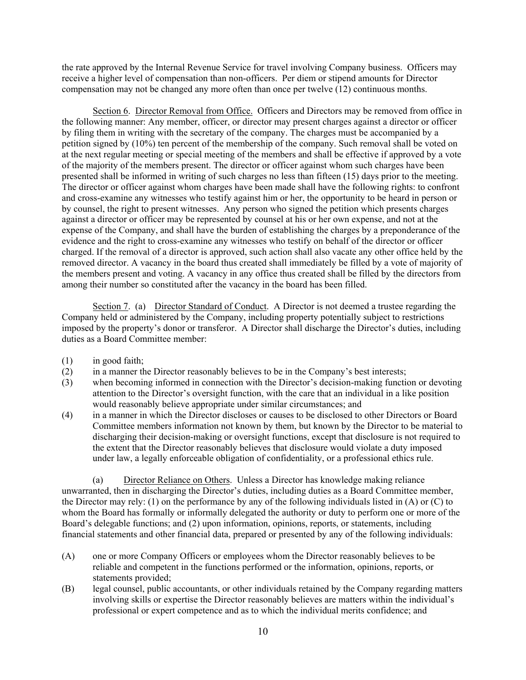the rate approved by the Internal Revenue Service for travel involving Company business. Officers may receive a higher level of compensation than non-officers. Per diem or stipend amounts for Director compensation may not be changed any more often than once per twelve (12) continuous months.

Section 6. Director Removal from Office. Officers and Directors may be removed from office in the following manner: Any member, officer, or director may present charges against a director or officer by filing them in writing with the secretary of the company. The charges must be accompanied by a petition signed by (10%) ten percent of the membership of the company. Such removal shall be voted on at the next regular meeting or special meeting of the members and shall be effective if approved by a vote of the majority of the members present. The director or officer against whom such charges have been presented shall be informed in writing of such charges no less than fifteen (15) days prior to the meeting. The director or officer against whom charges have been made shall have the following rights: to confront and cross-examine any witnesses who testify against him or her, the opportunity to be heard in person or by counsel, the right to present witnesses. Any person who signed the petition which presents charges against a director or officer may be represented by counsel at his or her own expense, and not at the expense of the Company, and shall have the burden of establishing the charges by a preponderance of the evidence and the right to cross-examine any witnesses who testify on behalf of the director or officer charged. If the removal of a director is approved, such action shall also vacate any other office held by the removed director. A vacancy in the board thus created shall immediately be filled by a vote of majority of the members present and voting. A vacancy in any office thus created shall be filled by the directors from among their number so constituted after the vacancy in the board has been filled.

Section 7. (a) Director Standard of Conduct. A Director is not deemed a trustee regarding the Company held or administered by the Company, including property potentially subject to restrictions imposed by the property's donor or transferor. A Director shall discharge the Director's duties, including duties as a Board Committee member:

- (1) in good faith;
- (2) in a manner the Director reasonably believes to be in the Company's best interests;
- (3) when becoming informed in connection with the Director's decision-making function or devoting attention to the Director's oversight function, with the care that an individual in a like position would reasonably believe appropriate under similar circumstances; and
- (4) in a manner in which the Director discloses or causes to be disclosed to other Directors or Board Committee members information not known by them, but known by the Director to be material to discharging their decision-making or oversight functions, except that disclosure is not required to the extent that the Director reasonably believes that disclosure would violate a duty imposed under law, a legally enforceable obligation of confidentiality, or a professional ethics rule.

(a) Director Reliance on Others. Unless a Director has knowledge making reliance unwarranted, then in discharging the Director's duties, including duties as a Board Committee member, the Director may rely: (1) on the performance by any of the following individuals listed in (A) or (C) to whom the Board has formally or informally delegated the authority or duty to perform one or more of the Board's delegable functions; and (2) upon information, opinions, reports, or statements, including financial statements and other financial data, prepared or presented by any of the following individuals:

- (A) one or more Company Officers or employees whom the Director reasonably believes to be reliable and competent in the functions performed or the information, opinions, reports, or statements provided;
- (B) legal counsel, public accountants, or other individuals retained by the Company regarding matters involving skills or expertise the Director reasonably believes are matters within the individual's professional or expert competence and as to which the individual merits confidence; and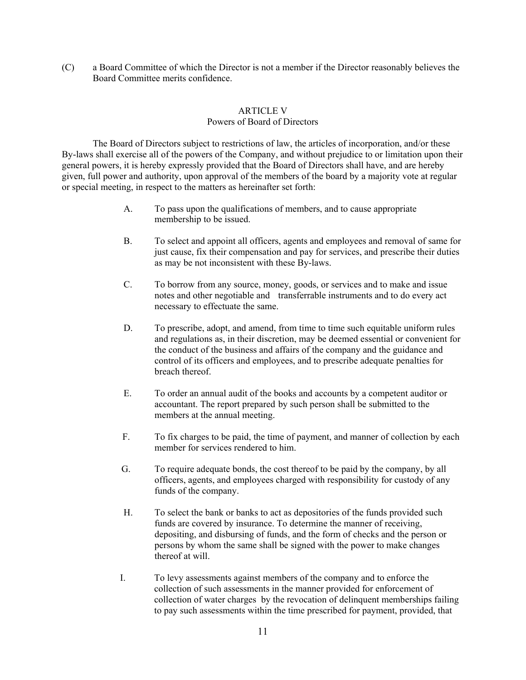(C) a Board Committee of which the Director is not a member if the Director reasonably believes the Board Committee merits confidence.

## ARTICLE V

## Powers of Board of Directors

 The Board of Directors subject to restrictions of law, the articles of incorporation, and/or these By-laws shall exercise all of the powers of the Company, and without prejudice to or limitation upon their general powers, it is hereby expressly provided that the Board of Directors shall have, and are hereby given, full power and authority, upon approval of the members of the board by a majority vote at regular or special meeting, in respect to the matters as hereinafter set forth:

- A. To pass upon the qualifications of members, and to cause appropriate membership to be issued.
- B. To select and appoint all officers, agents and employees and removal of same for just cause, fix their compensation and pay for services, and prescribe their duties as may be not inconsistent with these By-laws.
- C. To borrow from any source, money, goods, or services and to make and issue notes and other negotiable and transferrable instruments and to do every act necessary to effectuate the same.
- D. To prescribe, adopt, and amend, from time to time such equitable uniform rules and regulations as, in their discretion, may be deemed essential or convenient for the conduct of the business and affairs of the company and the guidance and control of its officers and employees, and to prescribe adequate penalties for breach thereof.
- E. To order an annual audit of the books and accounts by a competent auditor or accountant. The report prepared by such person shall be submitted to the members at the annual meeting.
- F. To fix charges to be paid, the time of payment, and manner of collection by each member for services rendered to him.
- G. To require adequate bonds, the cost thereof to be paid by the company, by all officers, agents, and employees charged with responsibility for custody of any funds of the company.
- H. To select the bank or banks to act as depositories of the funds provided such funds are covered by insurance. To determine the manner of receiving, depositing, and disbursing of funds, and the form of checks and the person or persons by whom the same shall be signed with the power to make changes thereof at will.
- I. To levy assessments against members of the company and to enforce the collection of such assessments in the manner provided for enforcement of collection of water charges by the revocation of delinquent memberships failing to pay such assessments within the time prescribed for payment, provided, that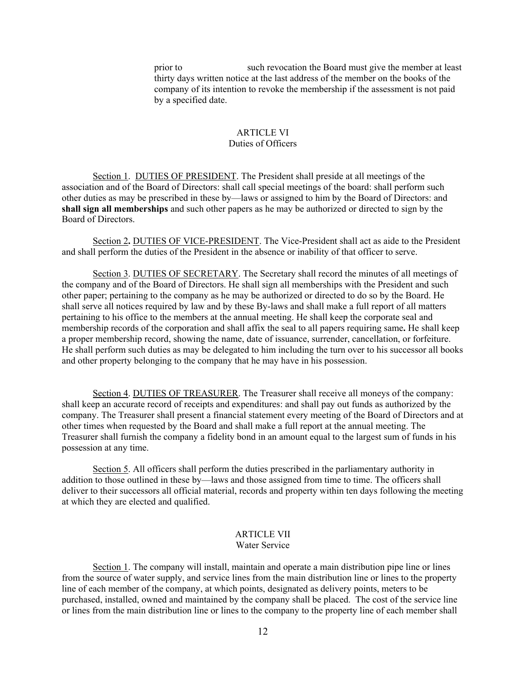prior to such revocation the Board must give the member at least thirty days written notice at the last address of the member on the books of the company of its intention to revoke the membership if the assessment is not paid by a specified date.

#### ARTICLE VI Duties of Officers

Section 1. DUTIES OF PRESIDENT. The President shall preside at all meetings of the association and of the Board of Directors: shall call special meetings of the board: shall perform such other duties as may be prescribed in these by—laws or assigned to him by the Board of Directors: and **shall sign all memberships** and such other papers as he may be authorized or directed to sign by the Board of Directors.

Section 2**.** DUTIES OF VICE-PRESIDENT. The Vice-President shall act as aide to the President and shall perform the duties of the President in the absence or inability of that officer to serve.

Section 3. DUTIES OF SECRETARY. The Secretary shall record the minutes of all meetings of the company and of the Board of Directors. He shall sign all memberships with the President and such other paper; pertaining to the company as he may be authorized or directed to do so by the Board. He shall serve all notices required by law and by these By-laws and shall make a full report of all matters pertaining to his office to the members at the annual meeting. He shall keep the corporate seal and membership records of the corporation and shall affix the seal to all papers requiring same**.** He shall keep a proper membership record, showing the name, date of issuance, surrender, cancellation, or forfeiture. He shall perform such duties as may be delegated to him including the turn over to his successor all books and other property belonging to the company that he may have in his possession.

Section 4. DUTIES OF TREASURER. The Treasurer shall receive all moneys of the company: shall keep an accurate record of receipts and expenditures: and shall pay out funds as authorized by the company. The Treasurer shall present a financial statement every meeting of the Board of Directors and at other times when requested by the Board and shall make a full report at the annual meeting. The Treasurer shall furnish the company a fidelity bond in an amount equal to the largest sum of funds in his possession at any time.

Section 5. All officers shall perform the duties prescribed in the parliamentary authority in addition to those outlined in these by—laws and those assigned from time to time. The officers shall deliver to their successors all official material, records and property within ten days following the meeting at which they are elected and qualified.

#### ARTICLE VII Water Service

Section 1. The company will install, maintain and operate a main distribution pipe line or lines from the source of water supply, and service lines from the main distribution line or lines to the property line of each member of the company, at which points, designated as delivery points, meters to be purchased, installed, owned and maintained by the company shall be placed. The cost of the service line or lines from the main distribution line or lines to the company to the property line of each member shall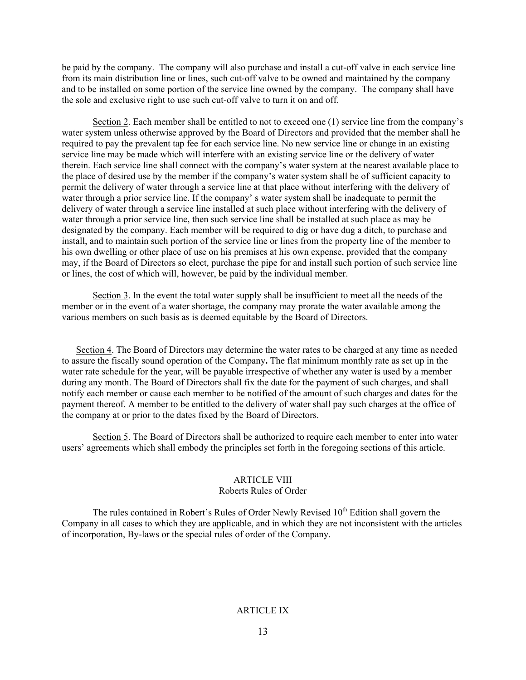be paid by the company. The company will also purchase and install a cut-off valve in each service line from its main distribution line or lines, such cut-off valve to be owned and maintained by the company and to be installed on some portion of the service line owned by the company. The company shall have the sole and exclusive right to use such cut-off valve to turn it on and off.

Section 2. Each member shall be entitled to not to exceed one (1) service line from the company's water system unless otherwise approved by the Board of Directors and provided that the member shall he required to pay the prevalent tap fee for each service line. No new service line or change in an existing service line may be made which will interfere with an existing service line or the delivery of water therein. Each service line shall connect with the company's water system at the nearest available place to the place of desired use by the member if the company's water system shall be of sufficient capacity to permit the delivery of water through a service line at that place without interfering with the delivery of water through a prior service line. If the company' s water system shall be inadequate to permit the delivery of water through a service line installed at such place without interfering with the delivery of water through a prior service line, then such service line shall be installed at such place as may be designated by the company. Each member will be required to dig or have dug a ditch, to purchase and install, and to maintain such portion of the service line or lines from the property line of the member to his own dwelling or other place of use on his premises at his own expense, provided that the company may, if the Board of Directors so elect*,* purchase the pipe for and install such portion of such service line or lines, the cost of which will, however, be paid by the individual member.

Section 3. In the event the total water supply shall be insufficient to meet all the needs of the member or in the event of a water shortage, the company may prorate the water available among the various members on such basis as is deemed equitable by the Board of Directors.

Section 4. The Board of Directors may determine the water rates to be charged at any time as needed to assure the fiscally sound operation of the Company**.** The flat minimum monthly rate as set up in the water rate schedule for the year, will be payable irrespective of whether any water is used by a member during any month. The Board of Directors shall fix the date for the payment of such charges, and shall notify each member or cause each member to be notified of the amount of such charges and dates for the payment thereof. A member to be entitled to the delivery of water shall pay such charges at the office of the company at or prior to the dates fixed by the Board of Directors.

Section 5. The Board of Directors shall be authorized to require each member to enter into water users' agreements which shall embody the principles set forth in the foregoing sections of this article.

# ARTICLE VIII

## Roberts Rules of Order

The rules contained in Robert's Rules of Order Newly Revised  $10<sup>th</sup>$  Edition shall govern the Company in all cases to which they are applicable, and in which they are not inconsistent with the articles of incorporation, By-laws or the special rules of order of the Company.

## ARTICLE IX